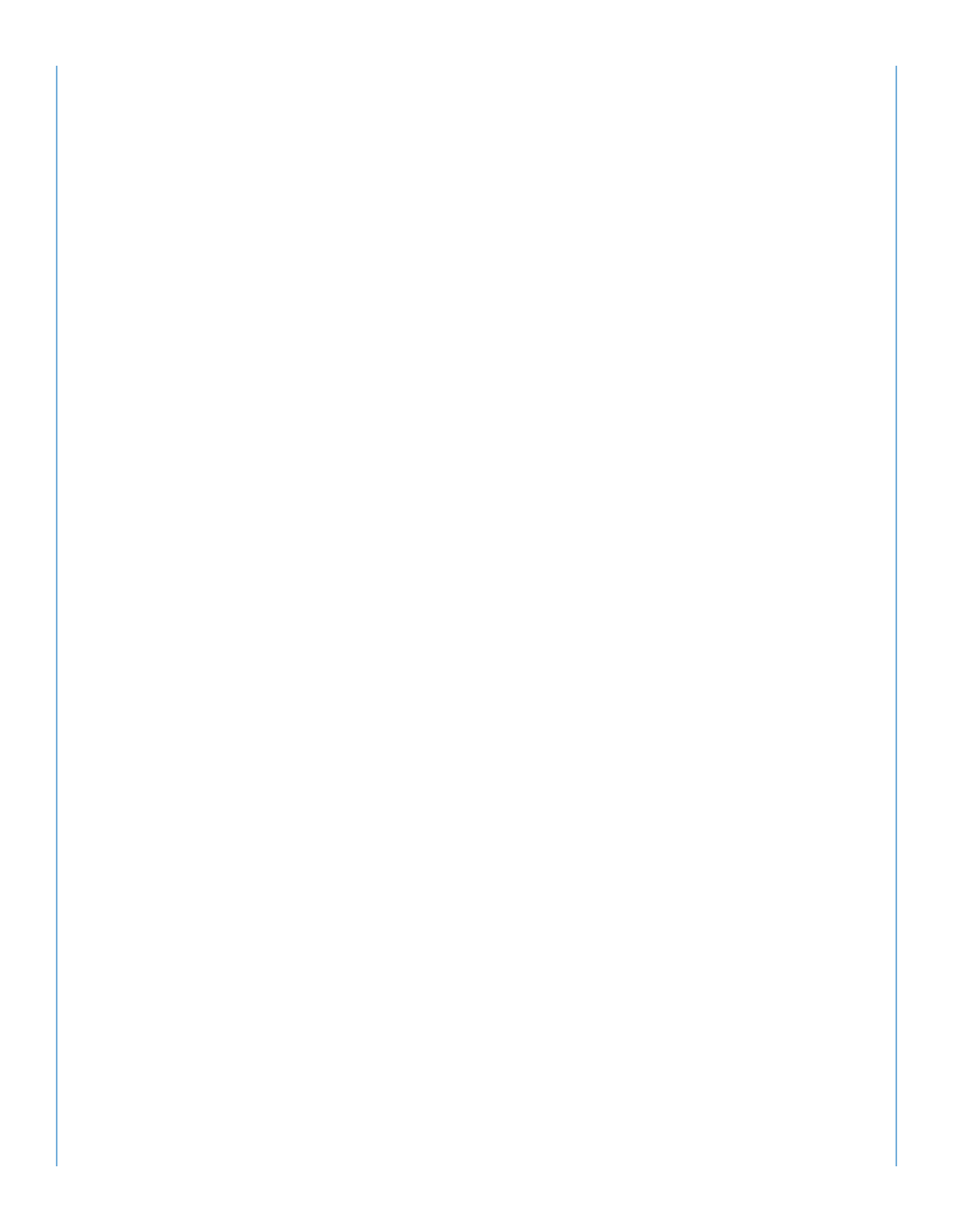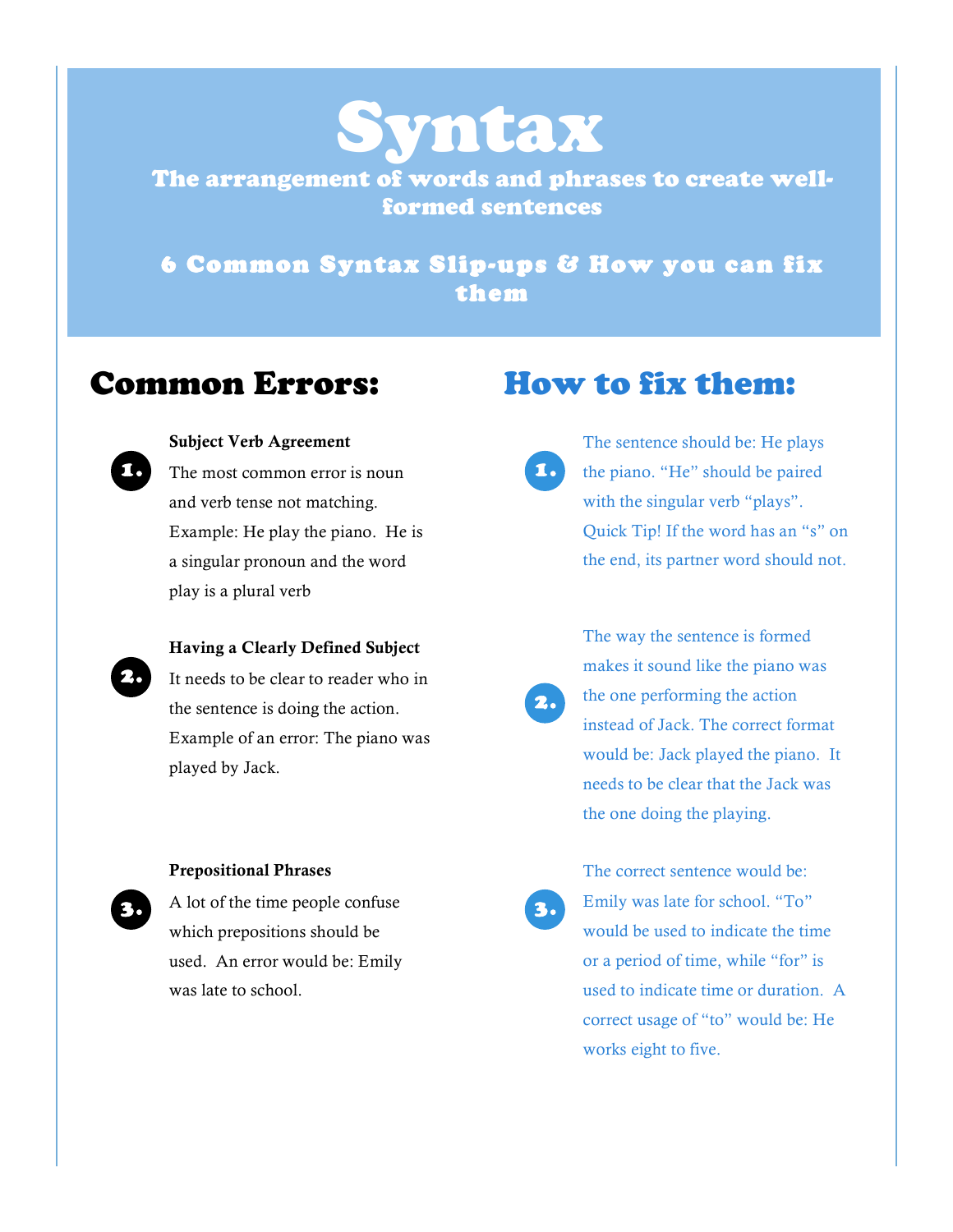# Syntax

The arrangement of words and phrases to create wellformed sentences

6 Common Syntax Slip-ups & How you can fix them

# Common Errors:



2.

3.

## Subject Verb Agreement

The most common error is noun and verb tense not matching. Example: He play the piano. He is a singular pronoun and the word play is a plural verb

Having a Clearly Defined Subject It needs to be clear to reader who in the sentence is doing the action. Example of an error: The piano was

played by Jack.

#### Prepositional Phrases

A lot of the time people confuse which prepositions should be used. An error would be: Emily was late to school.

## How to fix them:

- The sentence should be: He plays the piano. "He" should be paired with the singular verb "plays". Quick Tip! If the word has an "s" on the end, its partner word should not. 1.
	- The way the sentence is formed makes it sound like the piano was the one performing the action instead of Jack. The correct format would be: Jack played the piano. It needs to be clear that the Jack was the one doing the playing.
- 3.

2.

The correct sentence would be: Emily was late for school. "To" would be used to indicate the time or a period of time, while "for" is used to indicate time or duration. A correct usage of "to" would be: He works eight to five.